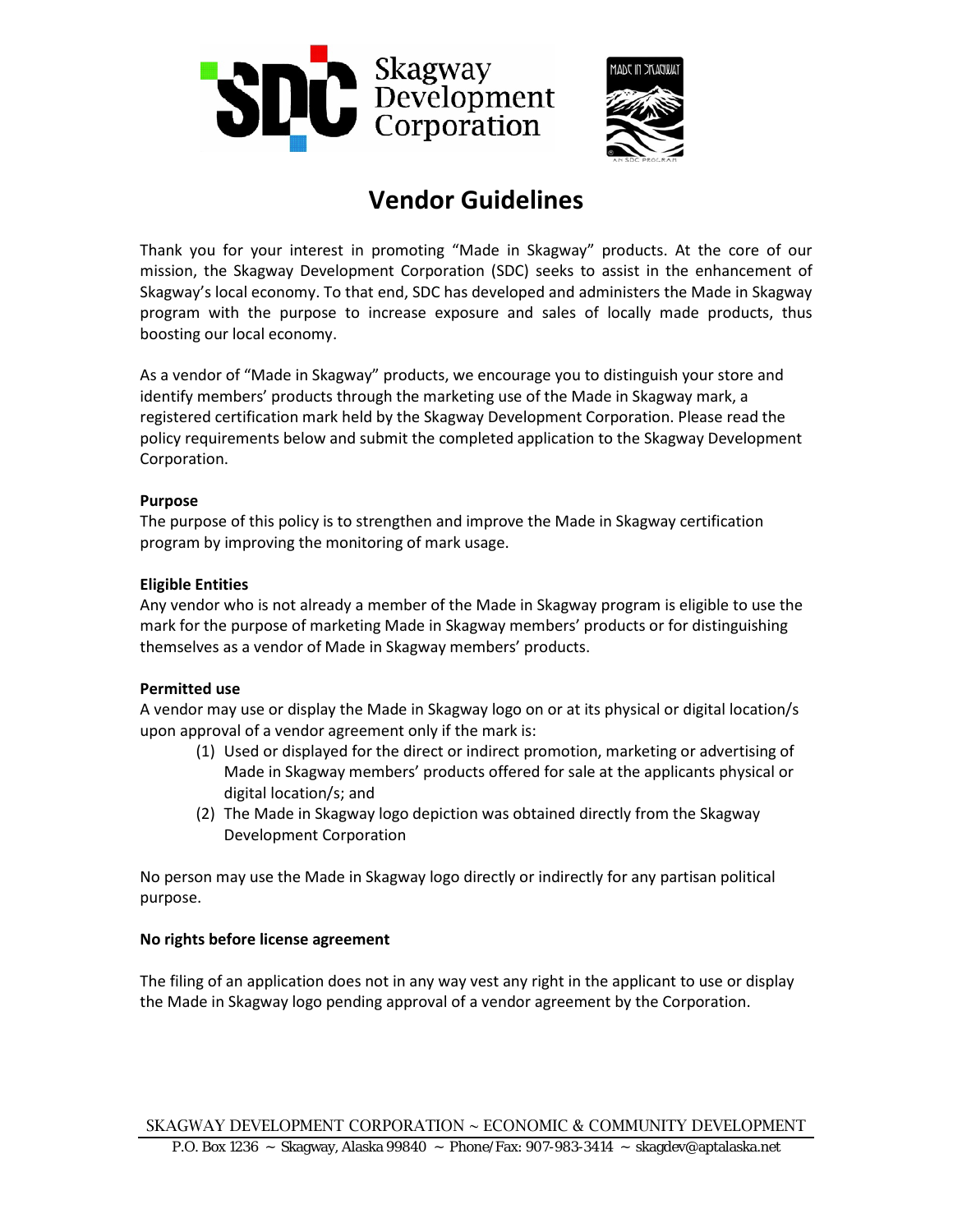



# **Vendor Guidelines**

Thank you for your interest in promoting "Made in Skagway" products. At the core of our mission, the Skagway Development Corporation (SDC) seeks to assist in the enhancement of Skagway's local economy. To that end, SDC has developed and administers the Made in Skagway program with the purpose to increase exposure and sales of locally made products, thus boosting our local economy.

As a vendor of "Made in Skagway" products, we encourage you to distinguish your store and identify members' products through the marketing use of the Made in Skagway mark, a registered certification mark held by the Skagway Development Corporation. Please read the policy requirements below and submit the completed application to the Skagway Development Corporation.

#### **Purpose**

The purpose of this policy is to strengthen and improve the Made in Skagway certification program by improving the monitoring of mark usage.

## **Eligible Entities**

Any vendor who is not already a member of the Made in Skagway program is eligible to use the mark for the purpose of marketing Made in Skagway members' products or for distinguishing themselves as a vendor of Made in Skagway members' products.

# **Permitted use**

A vendor may use or display the Made in Skagway logo on or at its physical or digital location/s upon approval of a vendor agreement only if the mark is:

- (1) Used or displayed for the direct or indirect promotion, marketing or advertising of Made in Skagway members' products offered for sale at the applicants physical or digital location/s; and
- (2) The Made in Skagway logo depiction was obtained directly from the Skagway Development Corporation

No person may use the Made in Skagway logo directly or indirectly for any partisan political purpose.

#### **No rights before license agreement**

The filing of an application does not in any way vest any right in the applicant to use or display the Made in Skagway logo pending approval of a vendor agreement by the Corporation.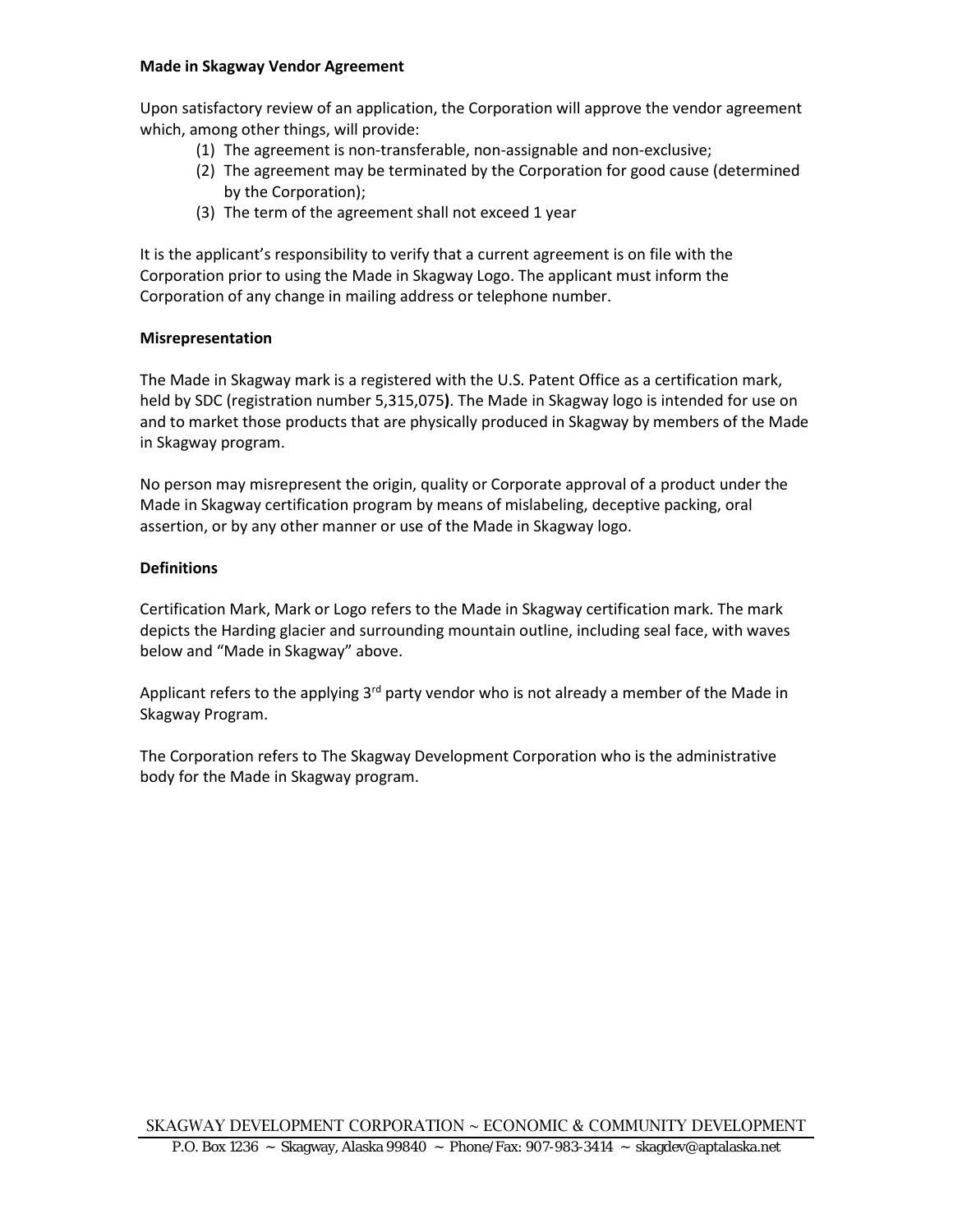#### **Made in Skagway Vendor Agreement**

Upon satisfactory review of an application, the Corporation will approve the vendor agreement which, among other things, will provide:

- (1) The agreement is non-transferable, non-assignable and non-exclusive;
- (2) The agreement may be terminated by the Corporation for good cause (determined by the Corporation);
- (3) The term of the agreement shall not exceed 1 year

It is the applicant's responsibility to verify that a current agreement is on file with the Corporation prior to using the Made in Skagway Logo. The applicant must inform the Corporation of any change in mailing address or telephone number.

#### **Misrepresentation**

The Made in Skagway mark is a registered with the U.S. Patent Office as a certification mark, held by SDC (registration number 5,315,075**)**. The Made in Skagway logo is intended for use on and to market those products that are physically produced in Skagway by members of the Made in Skagway program.

No person may misrepresent the origin, quality or Corporate approval of a product under the Made in Skagway certification program by means of mislabeling, deceptive packing, oral assertion, or by any other manner or use of the Made in Skagway logo.

## **Definitions**

Certification Mark, Mark or Logo refers to the Made in Skagway certification mark. The mark depicts the Harding glacier and surrounding mountain outline, including seal face, with waves below and "Made in Skagway" above.

Applicant refers to the applying  $3^{rd}$  party vendor who is not already a member of the Made in Skagway Program.

The Corporation refers to The Skagway Development Corporation who is the administrative body for the Made in Skagway program.